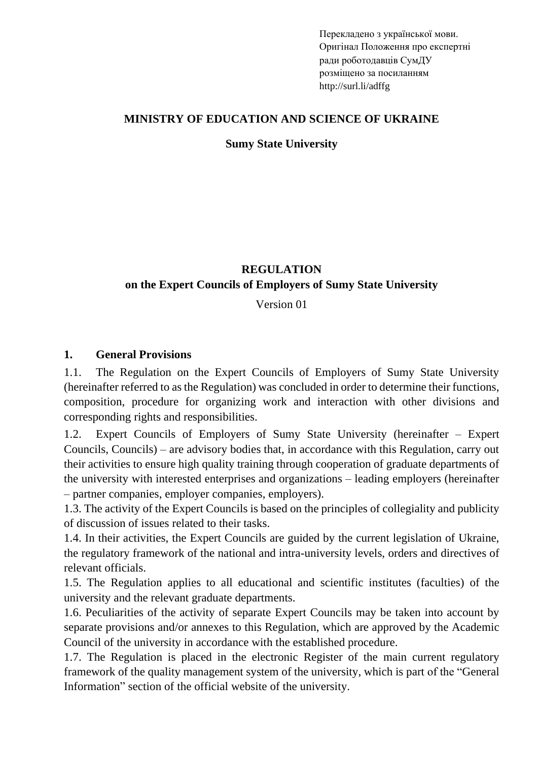Перекладено з української мови. Оригінал [Положення про експертні](https://normative.sumdu.edu.ua/?task=getfile&tmpl=component&id=188136f0-d6e3-e711-926d-001a4be6d04a&kind=1)  [ради роботодавців](https://normative.sumdu.edu.ua/?task=getfile&tmpl=component&id=188136f0-d6e3-e711-926d-001a4be6d04a&kind=1) СумДУ розміщено за посиланням http://surl.li/adffg

### **MINISTRY OF EDUCATION AND SCIENCE OF UKRAINE**

#### **Sumy State University**

## **REGULATION on the Expert Councils of Employers of Sumy State University**

Version 01

#### **1. General Provisions**

1.1. The Regulation on the Expert Councils of Employers of Sumy State University (hereinafter referred to as the Regulation) was concluded in order to determine their functions, composition, procedure for organizing work and interaction with other divisions and corresponding rights and responsibilities.

1.2. Expert Councils of Employers of Sumy State University (hereinafter – Expert Councils, Councils) – are advisory bodies that, in accordance with this Regulation, carry out their activities to ensure high quality training through cooperation of graduate departments of the university with interested enterprises and organizations – leading employers (hereinafter – partner companies, employer companies, employers).

1.3. The activity of the Expert Councils is based on the principles of collegiality and publicity of discussion of issues related to their tasks.

1.4. In their activities, the Expert Councils are guided by the current legislation of Ukraine, the regulatory framework of the national and intra-university levels, orders and directives of relevant officials.

1.5. The Regulation applies to all educational and scientific institutes (faculties) of the university and the relevant graduate departments.

1.6. Peculiarities of the activity of separate Expert Councils may be taken into account by separate provisions and/or annexes to this Regulation, which are approved by the Academic Council of the university in accordance with the established procedure.

1.7. The Regulation is placed in the electronic Register of the main current regulatory framework of the quality management system of the university, which is part of the "General Information" section of the official website of the university.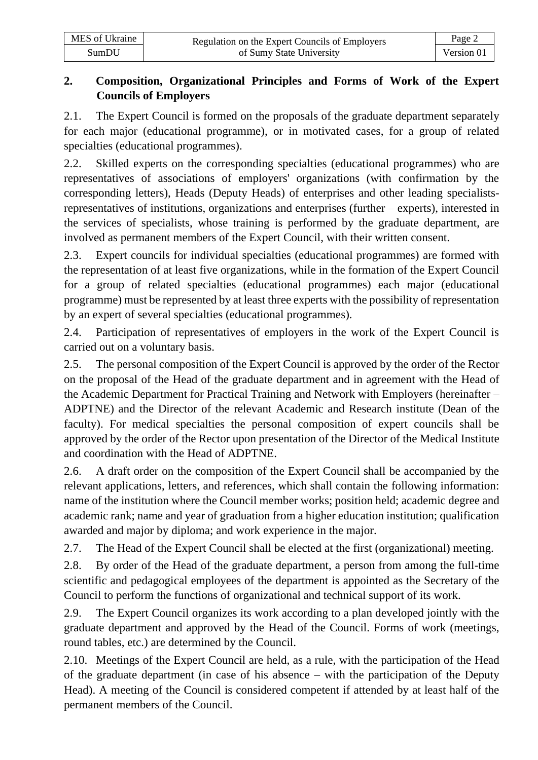| MES of Ukraine | Regulation on the Expert Councils of Employers | Page 2     |  |
|----------------|------------------------------------------------|------------|--|
| SumDU          | of Sumy State University                       | Version 01 |  |

## **2. Composition, Organizational Principles and Forms of Work of the Expert Councils of Employers**

2.1. The Expert Council is formed on the proposals of the graduate department separately for each major (educational programme), or in motivated cases, for a group of related specialties (educational programmes).

2.2. Skilled experts on the corresponding specialties (educational programmes) who are representatives of associations of employers' organizations (with confirmation by the corresponding letters), Heads (Deputy Heads) of enterprises and other leading specialistsrepresentatives of institutions, organizations and enterprises (further – experts), interested in the services of specialists, whose training is performed by the graduate department, are involved as permanent members of the Expert Council, with their written consent.

2.3. Expert councils for individual specialties (educational programmes) are formed with the representation of at least five organizations, while in the formation of the Expert Council for a group of related specialties (educational programmes) each major (educational programme) must be represented by at least three experts with the possibility of representation by an expert of several specialties (educational programmes).

2.4. Participation of representatives of employers in the work of the Expert Council is carried out on a voluntary basis.

2.5. The personal composition of the Expert Council is approved by the order of the Rector on the proposal of the Head of the graduate department and in agreement with the Head of the Academic Department for Practical Training and Network with Employers (hereinafter – ADPTNE) and the Director of the relevant Academic and Research institute (Dean of the faculty). For medical specialties the personal composition of expert councils shall be approved by the order of the Rector upon presentation of the Director of the Medical Institute and coordination with the Head of ADPTNE.

2.6. A draft order on the composition of the Expert Council shall be accompanied by the relevant applications, letters, and references, which shall contain the following information: name of the institution where the Council member works; position held; academic degree and academic rank; name and year of graduation from a higher education institution; qualification awarded and major by diploma; and work experience in the major.

2.7. The Head of the Expert Council shall be elected at the first (organizational) meeting.

2.8. By order of the Head of the graduate department, a person from among the full-time scientific and pedagogical employees of the department is appointed as the Secretary of the Council to perform the functions of organizational and technical support of its work.

2.9. The Expert Council organizes its work according to a plan developed jointly with the graduate department and approved by the Head of the Council. Forms of work (meetings, round tables, etc.) are determined by the Council.

2.10. Meetings of the Expert Council are held, as a rule, with the participation of the Head of the graduate department (in case of his absence – with the participation of the Deputy Head). A meeting of the Council is considered competent if attended by at least half of the permanent members of the Council.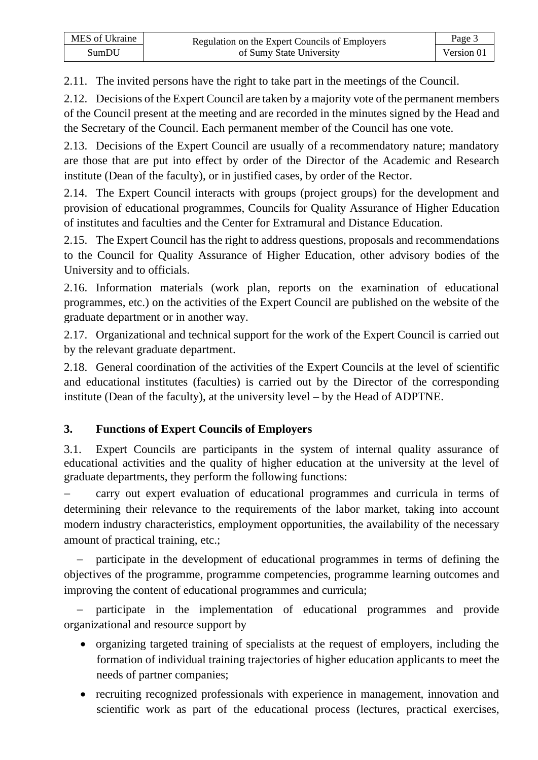2.11. The invited persons have the right to take part in the meetings of the Council.

2.12. Decisions of the Expert Council are taken by a majority vote of the permanent members of the Council present at the meeting and are recorded in the minutes signed by the Head and the Secretary of the Council. Each permanent member of the Council has one vote.

2.13. Decisions of the Expert Council are usually of a recommendatory nature; mandatory are those that are put into effect by order of the Director of the Academic and Research institute (Dean of the faculty), or in justified cases, by order of the Rector.

2.14. The Expert Council interacts with groups (project groups) for the development and provision of educational programmes, Councils for Quality Assurance of Higher Education of institutes and faculties and the Center for Extramural and Distance Education.

2.15. The Expert Council has the right to address questions, proposals and recommendations to the Council for Quality Assurance of Higher Education, other advisory bodies of the University and to officials.

2.16. Information materials (work plan, reports on the examination of educational programmes, etc.) on the activities of the Expert Council are published on the website of the graduate department or in another way.

2.17. Organizational and technical support for the work of the Expert Council is carried out by the relevant graduate department.

2.18. General coordination of the activities of the Expert Councils at the level of scientific and educational institutes (faculties) is carried out by the Director of the corresponding institute (Dean of the faculty), at the university level – by the Head of ADPTNE.

# **3. Functions of Expert Councils of Employers**

3.1. Expert Councils are participants in the system of internal quality assurance of educational activities and the quality of higher education at the university at the level of graduate departments, they perform the following functions:

carry out expert evaluation of educational programmes and curricula in terms of determining their relevance to the requirements of the labor market, taking into account modern industry characteristics, employment opportunities, the availability of the necessary amount of practical training, etc.;

participate in the development of educational programmes in terms of defining the objectives of the programme, programme competencies, programme learning outcomes and improving the content of educational programmes and curricula;

participate in the implementation of educational programmes and provide organizational and resource support by

- organizing targeted training of specialists at the request of employers, including the formation of individual training trajectories of higher education applicants to meet the needs of partner companies;
- recruiting recognized professionals with experience in management, innovation and scientific work as part of the educational process (lectures, practical exercises,